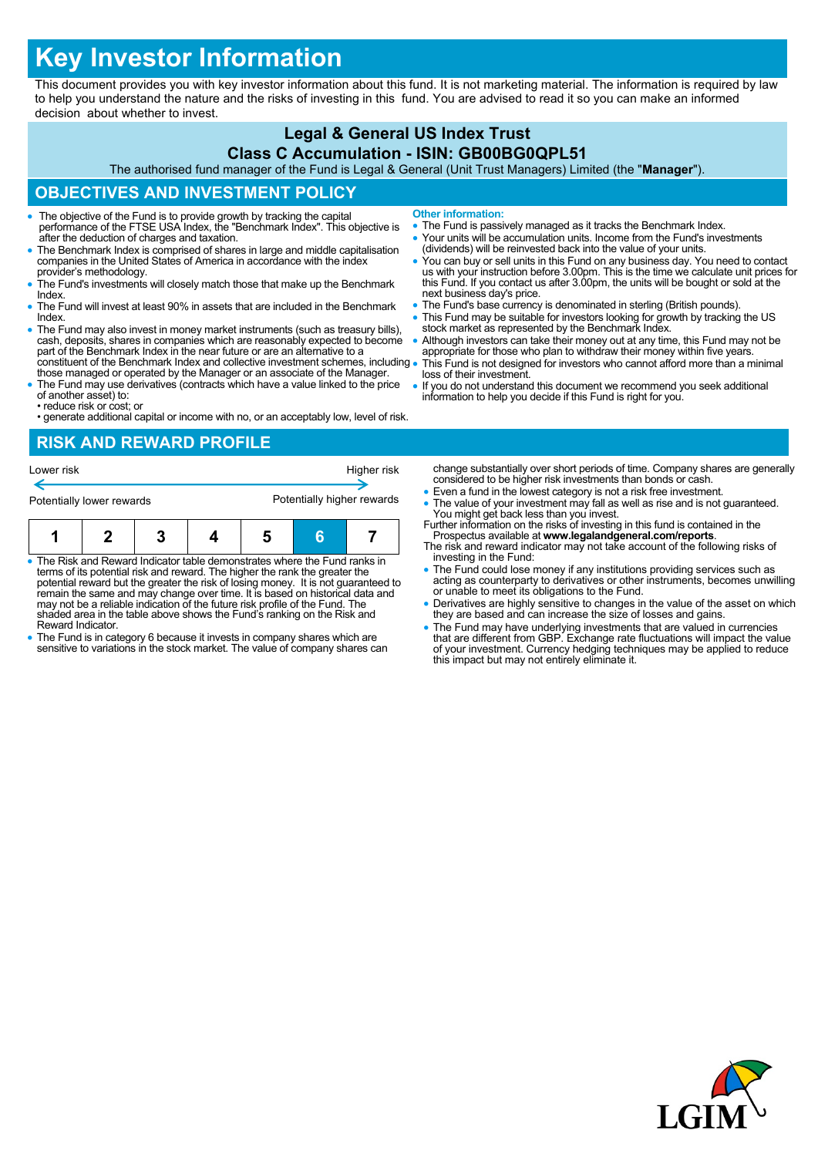# **Key Investor Information**

This document provides you with key investor information about this fund. It is not marketing material. The information is required by law to help you understand the nature and the risks of investing in this fund. You are advised to read it so you can make an informed decision about whether to invest.

# **Legal & General US Index Trust**

#### **Class C Accumulation - ISIN: GB00BG0QPL51**

The authorised fund manager of the Fund is Legal & General (Unit Trust Managers) Limited (the "**Manager**").

# **OBJECTIVES AND INVESTMENT POLICY**

- The objective of the Fund is to provide growth by tracking the capital performance of the FTSE USA Index, the "Benchmark Index". This objective is after the deduction of charges and taxation.
- The Benchmark Index is comprised of shares in large and middle capitalisation companies in the United States of America in accordance with the index provider's methodology.
- The Fund's investments will closely match those that make up the Benchmark **Index**
- The Fund will invest at least 90% in assets that are included in the Benchmark Index.
- The Fund may also invest in money market instruments (such as treasury bills), cash, deposits, shares in companies which are reasonably expected to become part of the Benchmark Index in the near future or are an alternat constituent of the Benchmark Index and collective investment schemes, including .
- those managed or operated by the Manager or an associate of the Manager. The Fund may use derivatives (contracts which have a value linked to the price
- of another asset) to: • reduce risk or cost; or
- generate additional capital or income with no, or an acceptably low, level of risk.

#### **RISK AND REWARD PROFILE**

| Lower risk                |  |  |  | Higher risk                |    |  |
|---------------------------|--|--|--|----------------------------|----|--|
| Potentially lower rewards |  |  |  | Potentially higher rewards |    |  |
|                           |  |  |  | 5                          | 'n |  |

- The Risk and Reward Indicator table demonstrates where the Fund ranks in terms of its potential risk and reward. The higher the rank the greater the potential reward but the greater the risk of losing money. It is not guaranteed to remain the same and may change over time. It is based on historical data and may not be a reliable indication of the future risk profile of the Fund. The shaded area in the table above shows the Fund's ranking on the Risk and Reward Indicator.
- The Fund is in category 6 because it invests in company shares which are sensitive to variations in the stock market. The value of company shares can
- **Other information:**
- The Fund is passively managed as it tracks the Benchmark Index.
- Your units will be accumulation units. Income from the Fund's investments (dividends) will be reinvested back into the value of your units.
- You can buy or sell units in this Fund on any business day. You need to contact us with your instruction before 3.00pm. This is the time we calculate unit prices for this Fund. If you contact us after 3.00pm, the units will be bought or sold at the next business day's price.
- The Fund's base currency is denominated in sterling (British pounds).
- This Fund may be suitable for investors looking for growth by tracking the US stock market as represented by the Benchmark Index.
- Although investors can take their money out at any time, this Fund may not be appropriate for those who plan to withdraw their money within five years. This Fund is not designed for investors who cannot afford more than a minimal
- loss of their investment.
- If you do not understand this document we recommend you seek additional information to help you decide if this Fund is right for you.

change substantially over short periods of time. Company shares are generally considered to be higher risk investments than bonds or cash.

- Even a fund in the lowest category is not a risk free investment.
- The value of your investment may fall as well as rise and is not guaranteed. You might get back less than you invest. Further information on the risks of investing in this fund is contained in the
- Prospectus available at **www.legalandgeneral.com/reports**. The risk and reward indicator may not take account of the following risks of
- investing in the Fund: The Fund could lose money if any institutions providing services such as acting as counterparty to derivatives or other instruments, becomes unwilling or unable to meet its obligations to the Fund.
- Derivatives are highly sensitive to changes in the value of the asset on which they are based and can increase the size of losses and gains.
- The Fund may have underlying investments that are valued in currencies<br>that are different from GBP. Exchange rate fluctuations will impact the value<br>of your investment. Currency hedging techniques may be applied to reduc